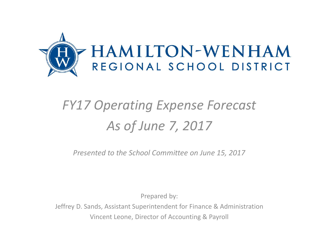

## *FY17 Operating Expense Forecast As of June 7, 2017*

*Presented to the School Committee on June 15, 2017*

Prepared by:

Jeffrey D. Sands, Assistant Superintendent for Finance & Administration Vincent Leone, Director of Accounting & Payroll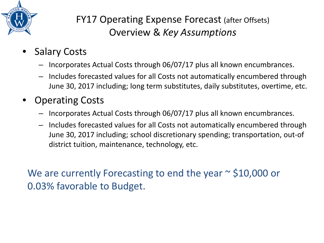

## FY17 Operating Expense Forecast (after Offsets) Overview & *Key Assumptions*

- **Salary Costs** 
	- Incorporates Actual Costs through 06/07/17 plus all known encumbrances.
	- Includes forecasted values for all Costs not automatically encumbered through June 30, 2017 including; long term substitutes, daily substitutes, overtime, etc.
- Operating Costs
	- Incorporates Actual Costs through 06/07/17 plus all known encumbrances.
	- Includes forecasted values for all Costs not automatically encumbered through June 30, 2017 including; school discretionary spending; transportation, out-of district tuition, maintenance, technology, etc.

We are currently Forecasting to end the year  $\sim$  \$10,000 or 0.03% favorable to Budget.